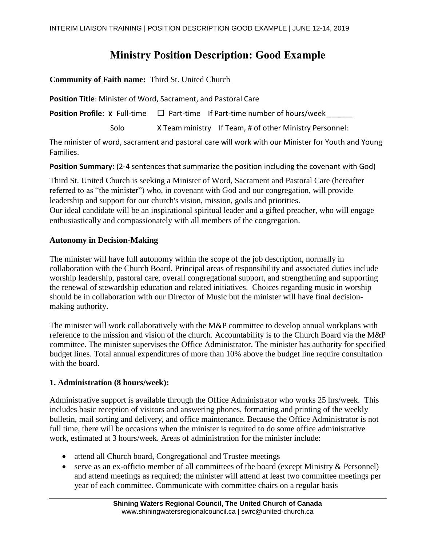# **Ministry Position Description: Good Example**

**Community of Faith name:** Third St. United Church

**Position Title**: Minister of Word, Sacrament, and Pastoral Care

**Position Profile:**  $X$  Full-time  $\Box$  Part-time If Part-time number of hours/week

Solo X Team ministry If Team, # of other Ministry Personnel:

The minister of word, sacrament and pastoral care will work with our Minister for Youth and Young Families.

**Position Summary:** (2-4 sentences that summarize the position including the covenant with God)

Third St. United Church is seeking a Minister of Word, Sacrament and Pastoral Care (hereafter referred to as "the minister") who, in covenant with God and our congregation, will provide leadership and support for our church's vision, mission, goals and priorities. Our ideal candidate will be an inspirational spiritual leader and a gifted preacher, who will engage enthusiastically and compassionately with all members of the congregation.

#### **Autonomy in Decision-Making**

The minister will have full autonomy within the scope of the job description, normally in collaboration with the Church Board. Principal areas of responsibility and associated duties include worship leadership, pastoral care, overall congregational support, and strengthening and supporting the renewal of stewardship education and related initiatives. Choices regarding music in worship should be in collaboration with our Director of Music but the minister will have final decisionmaking authority.

The minister will work collaboratively with the M&P committee to develop annual workplans with reference to the mission and vision of the church. Accountability is to the Church Board via the M&P committee. The minister supervises the Office Administrator. The minister has authority for specified budget lines. Total annual expenditures of more than 10% above the budget line require consultation with the board.

#### **1. Administration (8 hours/week):**

Administrative support is available through the Office Administrator who works 25 hrs/week. This includes basic reception of visitors and answering phones, formatting and printing of the weekly bulletin, mail sorting and delivery, and office maintenance. Because the Office Administrator is not full time, there will be occasions when the minister is required to do some office administrative work, estimated at 3 hours/week. Areas of administration for the minister include:

- attend all Church board, Congregational and Trustee meetings
- serve as an ex-officio member of all committees of the board (except Ministry & Personnel) and attend meetings as required; the minister will attend at least two committee meetings per year of each committee. Communicate with committee chairs on a regular basis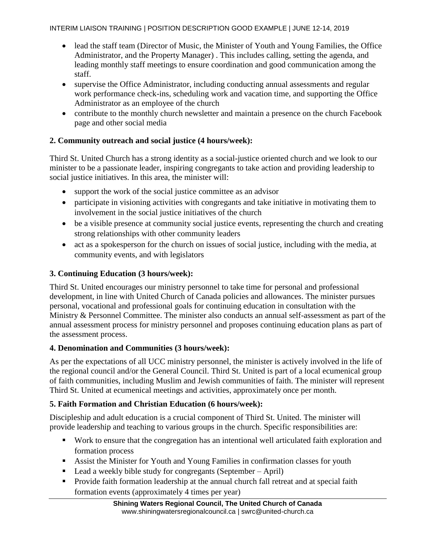- lead the staff team (Director of Music, the Minister of Youth and Young Families, the Office Administrator, and the Property Manager) . This includes calling, setting the agenda, and leading monthly staff meetings to ensure coordination and good communication among the staff.
- supervise the Office Administrator, including conducting annual assessments and regular work performance check-ins, scheduling work and vacation time, and supporting the Office Administrator as an employee of the church
- contribute to the monthly church newsletter and maintain a presence on the church Facebook page and other social media

# **2. Community outreach and social justice (4 hours/week):**

Third St. United Church has a strong identity as a social-justice oriented church and we look to our minister to be a passionate leader, inspiring congregants to take action and providing leadership to social justice initiatives. In this area, the minister will:

- support the work of the social justice committee as an advisor
- participate in visioning activities with congregants and take initiative in motivating them to involvement in the social justice initiatives of the church
- be a visible presence at community social justice events, representing the church and creating strong relationships with other community leaders
- act as a spokesperson for the church on issues of social justice, including with the media, at community events, and with legislators

# **3. Continuing Education (3 hours/week):**

Third St. United encourages our ministry personnel to take time for personal and professional development, in line with United Church of Canada policies and allowances. The minister pursues personal, vocational and professional goals for continuing education in consultation with the Ministry & Personnel Committee. The minister also conducts an annual self-assessment as part of the annual assessment process for ministry personnel and proposes continuing education plans as part of the assessment process.

#### **4. Denomination and Communities (3 hours/week):**

As per the expectations of all UCC ministry personnel, the minister is actively involved in the life of the regional council and/or the General Council. Third St. United is part of a local ecumenical group of faith communities, including Muslim and Jewish communities of faith. The minister will represent Third St. United at ecumenical meetings and activities, approximately once per month.

#### **5. Faith Formation and Christian Education (6 hours/week):**

Discipleship and adult education is a crucial component of Third St. United. The minister will provide leadership and teaching to various groups in the church. Specific responsibilities are:

- Work to ensure that the congregation has an intentional well articulated faith exploration and formation process
- Assist the Minister for Youth and Young Families in confirmation classes for youth
- Lead a weekly bible study for congregants (September April)
- **Provide faith formation leadership at the annual church fall retreat and at special faith** formation events (approximately 4 times per year)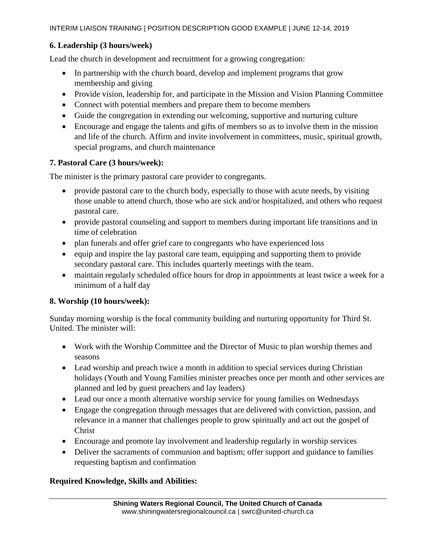# **6. Leadership (3 hours/week)**

Lead the church in development and recruitment for a growing congregation:

- In partnership with the church board, develop and implement programs that grow membership and giving
- Provide vision, leadership for, and participate in the Mission and Vision Planning Committee
- Connect with potential members and prepare them to become members
- Guide the congregation in extending our welcoming, supportive and nurturing culture
- Encourage and engage the talents and gifts of members so as to involve them in the mission and life of the church. Affirm and invite involvement in committees, music, spiritual growth, special programs, and church maintenance

#### **7. Pastoral Care (3 hours/week):**

The minister is the primary pastoral care provider to congregants.

- provide pastoral care to the church body, especially to those with acute needs, by visiting those unable to attend church, those who are sick and/or hospitalized, and others who request pastoral care.
- provide pastoral counseling and support to members during important life transitions and in time of celebration
- plan funerals and offer grief care to congregants who have experienced loss
- $\bullet$  equip and inspire the lay pastoral care team, equipping and supporting them to provide secondary pastoral care. This includes quarterly meetings with the team.
- maintain regularly scheduled office hours for drop in appointments at least twice a week for a minimum of a half day

#### **8. Worship (10 hours/week):**

Sunday morning worship is the focal community building and nurturing opportunity for Third St. United. The minister will:

- Work with the Worship Committee and the Director of Music to plan worship themes and seasons
- Lead worship and preach twice a month in addition to special services during Christian holidays (Youth and Young Families minister preaches once per month and other services are planned and led by guest preachers and lay leaders)
- Lead our once a month alternative worship service for young families on Wednesdays
- Engage the congregation through messages that are delivered with conviction, passion, and relevance in a manner that challenges people to grow spiritually and act out the gospel of Christ
- Encourage and promote lay involvement and leadership regularly in worship services
- Deliver the sacraments of communion and baptism; offer support and guidance to families requesting baptism and confirmation

#### **Required Knowledge, Skills and Abilities:**